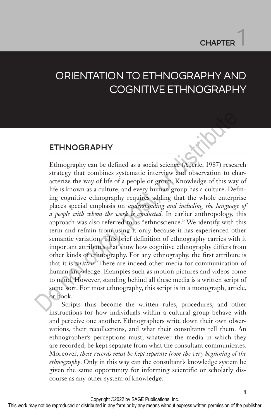**1**

# ORIENTATION TO ETHNOGRAPHY AND COGNITIVE ETHNOGRAPHY

### **ETHNOGRAPHY**

Ethnography can be defined as a social science (Aberle, 1987) research strategy that combines systematic interview and observation to characterize the way of life of a people or group. Knowledge of this way of life is known as a culture, and every human group has a culture. Defining cognitive ethnography requires adding that the whole enterprise places special emphasis on *understanding and including the language of a people with whom the work is conducted.* In earlier anthropology, this approach was also referred to as "ethnoscience." We identify with this term and refrain from using it only because it has experienced other semantic variation. This brief definition of ethnography carries with it important attributes that show how cognitive ethnography differs from other kinds of ethnography. For any ethnography, the first attribute is that it is *written*. There are indeed other media for communication of human knowledge. Examples such as motion pictures and videos come to mind. However, standing behind all these media is a written script of some sort. For most ethnography, this script is in a monograph, article, or book. **ETHNOGRAPHY**<br> **Ethnography can be defined as a social science (Aberle, 1987) resear**<br>
strategy that combines systematic interview and observation to ch<br>
acterize the way of life of a people or group, Knowledge of this way

Scripts thus become the written rules, procedures, and other instructions for how individuals within a cultural group behave with and perceive one another. Ethnographers write down their own observations, their recollections, and what their consultants tell them. An ethnographer's perceptions must, whatever the media in which they are recorded, be kept separate from what the consultant communicates. Moreover, *these records must be kept separate from the very beginning of the ethnography*. Only in this way can the consultant's knowledge system be given the same opportunity for informing scientific or scholarly discourse as any other system of knowledge.

Copyright ©2022 by SAGE Publications, Inc.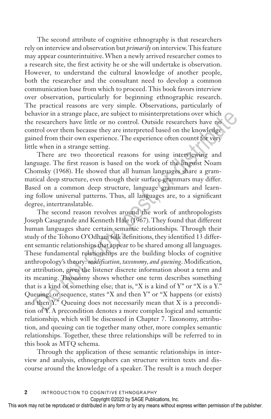The second attribute of cognitive ethnography is that researchers rely on interview and observation but *primarily* on interview. This feature may appear counterintuitive. When a newly arrived researcher comes to a research site, the first activity he or she will undertake is observation. However, to understand the cultural knowledge of another people, both the researcher and the consultant need to develop a common communication base from which to proceed. This book favors interview over observation, particularly for beginning ethnographic research. The practical reasons are very simple. Observations, particularly of behavior in a strange place, are subject to misinterpretations over which the researchers have little or no control. Outside researchers have no control over them because they are interpreted based on the knowledge gained from their own experience. The experience often counts for very little when in a strange setting.

There are two theoretical reasons for using interviewing and language. The first reason is based on the work of the linguist Noam Chomsky (1968). He showed that all human languages share a grammatical deep structure, even though their surface grammars may differ. Based on a common deep structure, language grammars and learning follow universal patterns. Thus, all languages are, to a significant degree, intertranslatable.

The second reason revolves around the work of anthropologists Joseph Casagrande and Kenneth Hale (1967). They found that different human languages share certain semantic relationships. Through their study of the Tohono O'Odham folk definitions, they identified 13 different semantic relationships that appear to be shared among all languages. These fundamental relationships are the building blocks of cognitive anthropology's theory: *modification, taxonomy, and queuing*. Modification, or attribution, gives the listener discrete information about a term and its meaning. Taxonomy shows whether one term describes something that is a kind of something else; that is, "X is a kind of Y" or "X is a Y." Queuing, or sequence, states "X and then Y" or "X happens (or exists) and then Y." Queuing does not necessarily mean that X is a precondition of Y. A precondition denotes a more complex logical and semantic relationship, which will be discussed in Chapter 7. Taxonomy, attribution, and queuing can tie together many other, more complex semantic relationships. Together, these three relationships will be referred to in this book as MTQ schema. ravior in a strange place, are subject to misinterpretations over which<br>researchers have little or no control. Outside researchers have not<br>trol over them because they are interpreted based on the knowledge<br>end from their

Through the application of these semantic relationships in interview and analysis, ethnographers can structure written texts and discourse around the knowledge of a speaker. The result is a much deeper

Copyright ©2022 by SAGE Publications, Inc.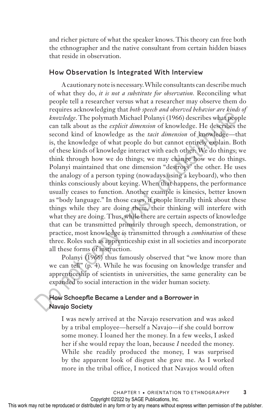and richer picture of what the speaker knows. This theory can free both the ethnographer and the native consultant from certain hidden biases that reside in observation.

#### **How Observation Is Integrated With Interview**

A cautionary note is necessary. While consultants can describe much of what they do, *it is not a substitute for observation.* Reconciling what people tell a researcher versus what a researcher may observe them do requires acknowledging that *both speech and observed behavior are kinds of knowledge*. The polymath Michael Polanyi (1966) describes what people can talk about as the *explicit dimension* of knowledge. He describes the second kind of knowledge as the *tacit dimension* of knowledge—that is, the knowledge of what people do but cannot entirely explain. Both of these kinds of knowledge interact with each other: We do things; we think through how we do things; we may change how we do things. Polanyi maintained that one dimension "destroys" the other. He uses the analogy of a person typing (nowadays using a keyboard), who then thinks consciously about keying. When that happens, the performance usually ceases to function. Another example is kinesics, better known as "body language." In those cases, if people literally think about these things while they are doing them, their thinking will interfere with what they are doing. Thus, while there are certain aspects of knowledge that can be transmitted primarily through speech, demonstration, or practice, most knowledge is transmitted through a *combination* of these three. Roles such as apprenticeship exist in all societies and incorporate all these forms of instruction. *Exercise and total complement and total total to the control and the knowledge. The polymath Michael Polanyi (1966) describes what peop<br>can talk about as the <i>explicit dimension* of knowledge. He describes the second kin

Polanyi (1966) thus famously observed that "we know more than we can tell" (p. 4). While he was focusing on knowledge transfer and apprenticeship of scientists in universities, the same generality can be expanded to social interaction in the wider human society.

#### **How Schoepfle Became a Lender and a Borrower in Navajo Society**

I was newly arrived at the Navajo reservation and was asked by a tribal employee—herself a Navajo—if she could borrow some money. I loaned her the money. In a few weeks, I asked her if she would repay the loan, because *I* needed the money. While she readily produced the money, I was surprised by the apparent look of disgust she gave me. As I worked more in the tribal office, I noticed that Navajos would often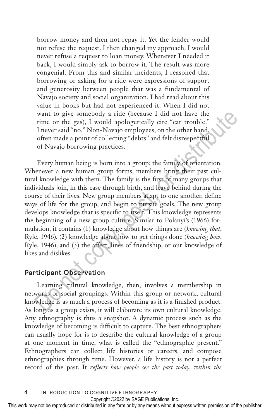borrow money and then not repay it. Yet the lender would not refuse the request. I then changed my approach. I would never refuse a request to loan money. Whenever I needed it back, I would simply ask to borrow it. The result was more congenial. From this and similar incidents, I reasoned that borrowing or asking for a ride were expressions of support and generosity between people that was a fundamental of Navajo society and social organization. I had read about this value in books but had not experienced it. When I did not want to give somebody a ride (because I did not have the time or the gas), I would apologetically cite "car trouble." I never said "no." Non-Navajo employees, on the other hand, often made a point of collecting "debts" and felt disrespectful of Navajo borrowing practices.

Every human being is born into a group: the family of orientation. Whenever a new human group forms, members bring their past cultural knowledge with them. The family is the first of many groups that individuals join, in this case through birth, and leave behind during the course of their lives. New group members adapt to one another, define ways of life for the group, and begin to pursue goals. The new group develops knowledge that is specific to itself. This knowledge represents the beginning of a new group culture. Similar to Polanyi's (1966) formulation, it contains (1) knowledge about how things are (*knowing that*, Ryle, 1946), (2) knowledge about how to get things done (*knowing how*, Ryle, 1946), and (3) the affect, lines of friendship, or our knowledge of likes and dislikes. want to give somebody a ride (because I did not have the<br>
time or the gas), I would apologetically cite "car trouble."<br>
I never said "no." Non-Navajo employees, on the other hand,<br>
often made a point of collecting "debts"

#### **Participant Observation**

Learning cultural knowledge, then, involves a membership in networks or social groupings. Within this group or network, cultural knowledge is as much a process of becoming as it is a finished product. As long as a group exists, it will elaborate its own cultural knowledge. Any ethnography is thus a snapshot. A dynamic process such as the knowledge of becoming is difficult to capture. The best ethnographers can usually hope for is to describe the cultural knowledge of a group at one moment in time, what is called the "ethnographic present." Ethnographers can collect life histories or careers, and compose ethnographies through time. However, a life history is not a perfect record of the past. It *reflects how people see the past today, within the* 

Copyright ©2022 by SAGE Publications, Inc.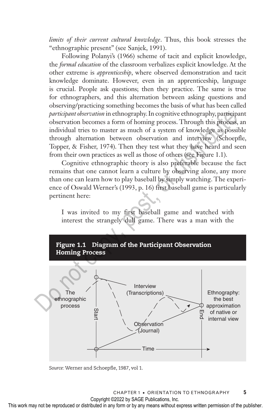*limits of their current cultural knowledge*. Thus, this book stresses the "ethnographic present" (see Sanjek, 1991).

Following Polanyi's (1966) scheme of tacit and explicit knowledge, the *formal education* of the classroom verbalizes explicit knowledge. At the other extreme is *apprenticeship*, where observed demonstration and tacit knowledge dominate. However, even in an apprenticeship, language is crucial. People ask questions; then they practice. The same is true for ethnographers, and this alternation between asking questions and observing/practicing something becomes the basis of what has been called *participant observation* in ethnography. In cognitive ethnography, participant observation becomes a form of homing process. Through this process, an individual tries to master as much of a system of knowledge as possible through alternation between observation and interview (Schoepfle, Topper, & Fisher, 1974). Then they test what they have heard and seen from their own practices as well as those of others (see Figure 1.1).

Cognitive ethnographic theory is also preferable because the fact remains that one cannot learn a culture by observing alone, any more than one can learn how to play baseball by simply watching. The experience of Oswald Werner's (1993, p. 16) first baseball game is particularly pertinent here:

I was invited to my first baseball game and watched with interest the strangely dull game. There was a man with the



*Source:* Werner and Schoepfle, 1987, vol 1.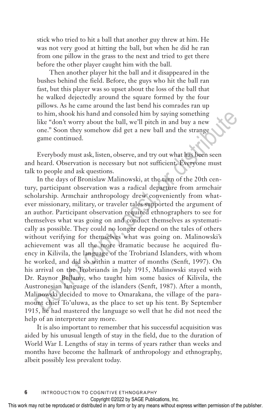stick who tried to hit a ball that another guy threw at him. He was not very good at hitting the ball, but when he did he ran from one pillow in the grass to the next and tried to get there before the other player caught him with the ball.

Then another player hit the ball and it disappeared in the bushes behind the field. Before, the guys who hit the ball ran fast, but this player was so upset about the loss of the ball that he walked dejectedly around the square formed by the four pillows. As he came around the last bend his comrades ran up to him, shook his hand and consoled him by saying something like "don't worry about the ball, we'll pitch in and buy a new one." Soon they somehow did get a new ball and the strange game continued.

Everybody must ask, listen, observe, and try out what has been seen and heard. Observation is necessary but not sufficient. Everyone must talk to people and ask questions.

In the days of Bronislaw Malinowski, at the turn of the 20th century, participant observation was a radical departure from armchair scholarship. Armchair anthropology drew conveniently from whatever missionary, military, or traveler tales supported the argument of an author. Participant observation required ethnographers to see for themselves what was going on and conduct themselves as systematically as possible. They could no longer depend on the tales of others without verifying for themselves what was going on. Malinowski's achievement was all the more dramatic because he acquired fluency in Kilivila, the language of the Trobriand Islanders, with whom he worked, and did so within a matter of months (Senft, 1997). On his arrival on the Trobriands in July 1915, Malinowski stayed with Dr. Raynor Bellamy, who taught him some basics of Kilivila, the Austronesian language of the islanders (Senft, 1987). After a month, Malinowski decided to move to Omarakana, the village of the paramount chief To'uluwa, as the place to set up his tent. By September 1915, he had mastered the language so well that he did not need the help of an interpreter any more. to him, shook his hand and consoled him by saying something<br>like "don't worry about the ball, we'll pitch in and buy a new<br>me." Soon they somehow did get a new ball and the strange<br>one." Soon they somehow did get a new bal

It is also important to remember that his successful acquisition was aided by his unusual length of stay in the field, due to the duration of World War I. Lengths of stay in terms of years rather than weeks and months have become the hallmark of anthropology and ethnography, albeit possibly less prevalent today.

Copyright ©2022 by SAGE Publications, Inc.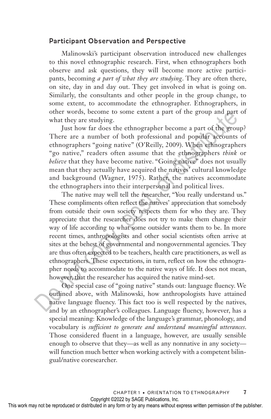#### **Participant Observation and Perspective**

Malinowski's participant observation introduced new challenges to this novel ethnographic research. First, when ethnographers both observe and ask questions, they will become more active participants, becoming *a part of what they are studying*. They are often there, on site, day in and day out. They get involved in what is going on. Similarly, the consultants and other people in the group change, to some extent, to accommodate the ethnographer. Ethnographers, in other words, become to some extent a part of the group and part of what they are studying.

Just how far does the ethnographer become a part of the group? There are a number of both professional and popular accounts of ethnographers "going native" (O'Reilly, 2009). When ethnographers "go native," readers often assume that the ethnographers *think* or *believe* that they have become native. "Going native" does not usually mean that they actually have acquired the natives' cultural knowledge and background (Wagner, 1975). Rather, the natives accommodate the ethnographers into their interpersonal and political lives.

The native may well tell the researcher, "You really understand us." These compliments often reflect the natives' appreciation that somebody from outside their own society respects them for who they are. They appreciate that the researcher does not try to make them change their way of life according to what some outsider wants them to be. In more recent times, anthropologists and other social scientists often arrive at sites at the behest of governmental and nongovernmental agencies. They are thus often expected to be teachers, health care practitioners, as well as ethnographers. These expectations, in turn, reflect on how the ethnographer needs to accommodate to the native ways of life. It does not mean, however, that the researcher has acquired the native mind-set. other words, become to some extent a part of the group and part<br>what they are studying.<br>Just how far does the ethnographer become a part of the group<br>There are a number of both professional and popular accounts<br>ethnographe

One special case of "going native" stands out: language fluency. We outlined above, with Malinowski, how anthropologists have attained native language fluency. This fact too is well respected by the natives, and by an ethnographer's colleagues. Language fluency, however, has a special meaning: Knowledge of the language's grammar, phonology, and vocabulary is *sufficient to generate and understand meaningful utterances*. Those considered fluent in a language, however, are usually sensible enough to observe that they—as well as any nonnative in any society will function much better when working actively with a competent bilingual/native coresearcher.

Chapter 1 • ORIENTATION TO ETHNOGRAPHY **7** Copyright ©2022 by SAGE Publications, Inc. This work may not be reproduced or distributed in any form or by any means without express written permission of the publisher.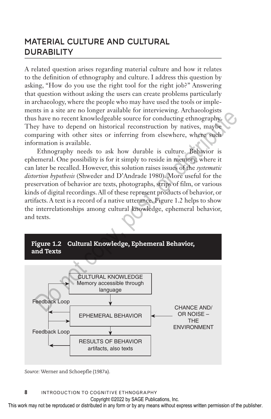# **MATERIAL CULTURE AND CULTURAL DURABILITY**

A related question arises regarding material culture and how it relates to the definition of ethnography and culture. I address this question by asking, "How do you use the right tool for the right job?" Answering that question without asking the users can create problems particularly in archaeology, where the people who may have used the tools or implements in a site are no longer available for interviewing. Archaeologists thus have no recent knowledgeable source for conducting ethnography. They have to depend on historical reconstruction by natives, maybe comparing with other sites or inferring from elsewhere, where such information is available.

Ethnography needs to ask how durable is culture. Behavior is ephemeral. One possibility is for it simply to reside in memory, where it can later be recalled. However, this solution raises issues of the *systematic distortion hypothesis* (Shweder and D'Andrade 1980). More useful for the preservation of behavior are texts, photographs, strips of film, or various kinds of digital recordings. All of these represent products of behavior, or artifacts. A text is a record of a native utterance. Figure 1.2 helps to show the interrelationships among cultural knowledge, ephemeral behavior, and texts. In a since are in onget awards on metric wear, accurate the same as the are of the original to the share no recent knowledgeable soure for conducting ethnography.<br>
Ey have to depend on historical reconstruction by natives,





*Source:* Werner and Schoepfle (1987a).

Copyright ©2022 by SAGE Publications, Inc.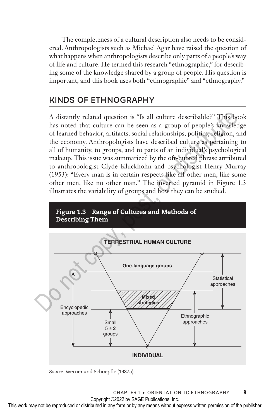The completeness of a cultural description also needs to be considered. Anthropologists such as Michael Agar have raised the question of what happens when anthropologists describe only parts of a people's way of life and culture. He termed this research "ethnographic," for describing some of the knowledge shared by a group of people. His question is important, and this book uses both "ethnographic" and "ethnography."

## **KINDS OF ETHNOGRAPHY**

A distantly related question is "Is all culture describable?" This book has noted that culture can be seen as a group of people's knowledge of learned behavior, artifacts, social relationships, politics, religion, and the economy. Anthropologists have described culture as pertaining to all of humanity, to groups, and to parts of an individual's psychological makeup. This issue was summarized by the oft-quoted phrase attributed to anthropologist Clyde Kluckhohn and psychologist Henry Murray (1953): "Every man is in certain respects like all other men, like some other men, like no other man." The inverted pyramid in Figure 1.3 illustrates the variability of groups and how they can be studied.



*Source:* Werner and Schoepfle (1987a).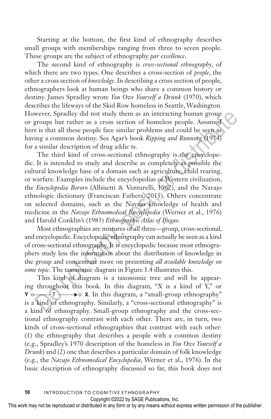Starting at the bottom, the first kind of ethnography describes small groups with memberships ranging from three to seven people. These groups are the subject of ethnography *par excellence*.

The second kind of ethnography is *cross-sectional ethnography*, of which there are two types. One describes a cross-section of *people*, the other a cross section of *knowledge*. In describing a cross section of people, ethnographers look at human beings who share a common history or destiny. James Spradley wrote *You Owe Yourself a Drunk* (1970), which describes the lifeways of the Skid Row homeless in Seattle, Washington. However, Spradley did not study them as an interacting human group or groups but rather as a cross section of homeless people. Assumed here is that all these people face similar problems and could be seen as having a common destiny. See Agar's book *Ripping and Running* (1974) for a similar description of drug addic ts.

The third kind of cross-sectional ethnography is the encyclopedic. It is intended to study and describe as completely as possible the cultural knowledge base of a domain such as agriculture, child rearing, or warfare. Examples include the encyclopedias of Western civilization, the *Encyclopedia Bororo* (Albisetti & Venturelli, 1962), and the Navajo ethnologic dictionary (Franciscan Fathers, 2015). Others concentrate on selected domains, such as the Navajo knowledge of health and medicine in the *Navajo Ethnomedical Encyclopedia* (Werner et al., 1976) and Harold Conklin's (1983) *Ethnographic Atlas of Ifugao*. wever, Spradley did not study them as an interacting human group<br>
groups but rather as a cross section of homeless people. Assumed<br>
e is that all these people face similar problems and could be seen as<br>
ing a common desti

Most ethnographies are mixtures of all three—group, cross-sectional, and encyclopedic. Encyclopedic ethnography can actually be seen as a kind of cross-sectional ethnography. It is encyclopedic because most ethnographers study less the information about the distribution of knowledge in the group and concentrate more on presenting *all available knowledge on some topic*. The taxonomic diagram in Figure 1.4 illustrates this.

This kind of diagram is a taxonomic tree and will be appearing throughout this book. In this diagram, "X is a kind of Y," or **Y**  $\circ$  **T**  $\bullet$  **X**. In this diagram, a "small-group ethnography" is a kind of ethnography. Similarly, a "cross-sectional ethnography" is a kind of ethnography. Small-group ethnography and the cross-sectional ethnography contrast with each other. There are, in turn, two kinds of cross-sectional ethnographies that contrast with each other: (1) the ethnography that describes a people with a common destiny (e.g., Spradley's 1970 description of the homeless in *You Owe Yourself a Drunk*) and (2) one that describes a particular domain of folk knowledge (e.g., the *Navajo Ethnomedical Encyclopedia*, Werner et al., 1976). In the basic description of ethnography discussed so far, this book does not

Copyright ©2022 by SAGE Publications, Inc.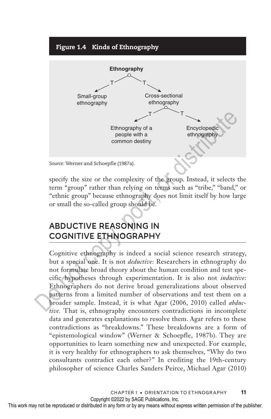#### Figure 1.4 Kinds of Ethnography



specify the size or the complexity of the group. Instead, it selects the term "group" rather than relying on terms such as "tribe," "band," or "ethnic group" because ethnography does not limit itself by how large or small the so-called group should be.

# **ABDUCTIVE REASONING IN COGNITIVE ETHNOGRAPHY**

Cognitive ethnography is indeed a social science research strategy, but a special one. It is not *deductive*: Researchers in ethnography do not formulate broad theory about the human condition and test specific hypotheses through experimentation. It is also not *inductive*: Ethnographers do not derive broad generalizations about observed patterns from a limited number of observations and test them on a broader sample. Instead, it is what Agar (2006, 2010) called *abductive.* That is, ethnography encounters contradictions in incomplete data and generates explanations to resolve them. Agar refers to these contradictions as "breakdowns." These breakdowns are a form of "epistemological window" (Werner & Schoepfle, 1987b). They are opportunities to learn something new and unexpected. For example, it is very healthy for ethnographers to ask themselves, "Why do two consultants contradict each other?" In crediting the 19th-century philosopher of science Charles Sanders Peirce, Michael Agar (2010)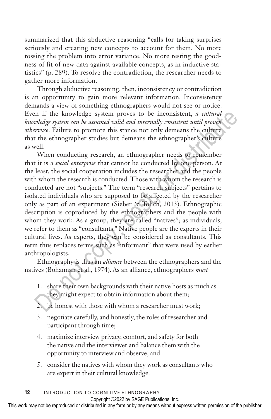summarized that this abductive reasoning "calls for taking surprises seriously and creating new concepts to account for them. No more tossing the problem into error variance. No more testing the goodness of fit of new data against available concepts, as in inductive statistics" (p. 289). To resolve the contradiction, the researcher needs to gather more information.

Through abductive reasoning, then, inconsistency or contradiction is an opportunity to gain more relevant information. Inconsistency demands a view of something ethnographers would not see or notice. Even if the knowledge system proves to be inconsistent, *a cultural knowledge system can be assumed valid and internally consistent until proven otherwise*. Failure to promote this stance not only demeans the culture that the ethnographer studies but demeans the ethnographer's culture as well.

When conducting research, an ethnographer needs to remember that it is a *social enterprise* that cannot be conducted by one person. At the least, the social cooperation includes the researcher and the people with whom the research is conducted. Those with whom the research is conducted are not "subjects." The term "research subjects" pertains to isolated individuals who are supposed to be affected by the researcher only as part of an experiment (Sieber & Tolich, 2013). Ethnographic description is coproduced by the ethnographers and the people with whom they work. As a group, they are called "natives"; as individuals, we refer to them as "consultants." Native people are the experts in their cultural lives. As experts, they can be considered as consultants. This term thus replaces terms such as "informant" that were used by earlier anthropologists. The showledge system proves to be inconsistent, a cultural<br>vielage system can be assumed vaild and internally consistent until provest<br>exame can be assumed to a moment this stance on the definement with the ethnographer s

Ethnography is thus an *alliance* between the ethnographers and the natives (Bohannan et al., 1974). As an alliance, ethnographers *must*

1. share their own backgrounds with their native hosts as much as they might expect to obtain information about them;

2. be honest with those with whom a researcher must work;

- 3. negotiate carefully, and honestly, the roles of researcher and participant through time;
- 4. maximize interview privacy, comfort, and safety for both the native and the interviewer and balance them with the opportunity to interview and observe; and
- 5. consider the natives with whom they work as consultants who are expert in their cultural knowledge.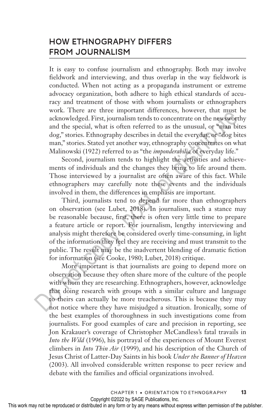### **HOW ETHNOGRAPHY DIFFERS FROM JOURNALISM**

It is easy to confuse journalism and ethnography. Both may involve fieldwork and interviewing, and thus overlap in the way fieldwork is conducted. When not acting as a propaganda instrument or extreme advocacy organization, both adhere to high ethical standards of accuracy and treatment of those with whom journalists or ethnographers work. There are three important differences, however, that must be acknowledged. First, journalism tends to concentrate on the newsworthy and the special, what is often referred to as the unusual, or "man bites dog," stories. Ethnography describes in detail the everyday, or "dog bites man," stories. Stated yet another way, ethnography concentrates on what Malinowski (1922) referred to as "the *imponderabilia* of everyday life."

Second, journalism tends to highlight the activities and achievements of individuals and the changes they bring to life around them. Those interviewed by a journalist are often aware of this fact. While ethnographers may carefully note these events and the individuals involved in them, the differences in emphasis are important.

Third, journalists tend to depend far more than ethnographers on observation (see Lubet, 2018). In journalism, such a stance may be reasonable because, first, there is often very little time to prepare a feature article or report. For journalism, lengthy interviewing and analysis might therefore be considered overly time-consuming, in light of the information they feel they are receiving and must transmit to the public. The result may be the inadvertent blending of dramatic fiction for information (see Cooke, 1980; Lubet, 2018) critique. work. There are line implotation time<br>tectros, invertigated a concentration of the answer and the special, what is often referred to as the unusual, or "man bi<br>dog," stories. Ethnography describes in detail the everyday,

More important is that journalists are going to depend more on observation because they often share more of the culture of the people with whom they are researching. Ethnographers, however, acknowledge that doing research with groups with a similar culture and language to theirs can actually be more treacherous. This is because they may not notice where they have misjudged a situation. Ironically, some of the best examples of thoroughness in such investigations come from journalists. For good examples of care and precision in reporting, see Jon Krakauer's coverage of Christopher McCandless's fatal travails in *Into the Wild* (1996), his portrayal of the experiences of Mount Everest climbers in *Into Thin Air* (1999), and his description of the Church of Jesus Christ of Latter-Day Saints in his book *Under the Banner of Heaven* (2003). All involved considerable written response to peer review and debate with the families and official organizations involved.

Copyright ©2022 by SAGE Publications, Inc.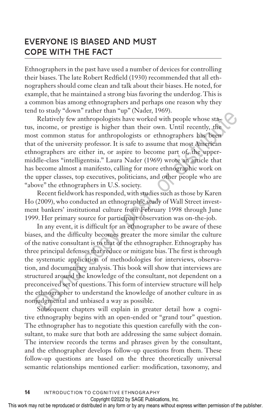### **EVERYONE IS BIASED AND MUST COPE WITH THE FACT**

Ethnographers in the past have used a number of devices for controlling their biases. The late Robert Redfield (1930) recommended that all ethnographers should come clean and talk about their biases. He noted, for example, that he maintained a strong bias favoring the underdog. This is a common bias among ethnographers and perhaps one reason why they tend to study "down" rather than "up" (Nader, 1969).

Relatively few anthropologists have worked with people whose status, income, or prestige is higher than their own. Until recently, the most common status for anthropologists or ethnographers has been that of the university professor. It is safe to assume that most American ethnographers are either in, or aspire to become part of, the uppermiddle-class "intelligentsia." Laura Nader (1969) wrote an article that has become almost a manifesto, calling for more ethnographic work on the upper classes, top executives, politicians, and other people who are "above" the ethnographers in U.S. society.

Recent fieldwork has responded, with studies such as those by Karen Ho (2009), who conducted an ethnographic study of Wall Street investment bankers' institutional culture from February 1998 through June 1999. Her primary source for participant observation was on-the-job.

In any event, it is difficult for an ethnographer to be aware of these biases, and the difficulty becomes greater the more similar the culture of the native consultant is to that of the ethnographer. Ethnography has three principal defenses that reduce or mitigate bias. The first is through the systematic application of methodologies for interviews, observation, and documentary analysis. This book will show that interviews are structured around the knowledge of the consultant, not dependent on a preconceived set of questions. This form of interview structure will help the ethnographer to understand the knowledge of another culture in as nonjudgmental and unbiased a way as possible. The state of the matter in the trainer in the (vatact, 1707).<br>
Relatively few anthropologists have worked with people whose sta-<br>
income, or prestige is higher than their own. Until recently, the<br>
st common status for anth

Subsequent chapters will explain in greater detail how a cognitive ethnography begins with an open-ended or "grand tour" question. The ethnographer has to negotiate this question carefully with the consultant, to make sure that both are addressing the same subject domain. The interview records the terms and phrases given by the consultant, and the ethnographer develops follow-up questions from them. These follow-up questions are based on the three theoretically universal semantic relationships mentioned earlier: modification, taxonomy, and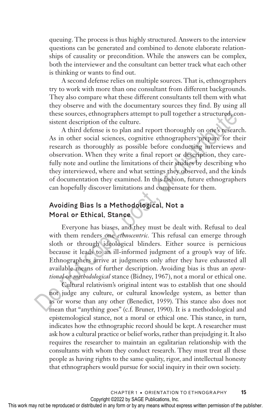queuing. The process is thus highly structured. Answers to the interview questions can be generated and combined to denote elaborate relationships of causality or precondition. While the answers can be complex, both the interviewer and the consultant can better track what each other is thinking or wants to find out.

A second defense relies on multiple sources. That is, ethnographers try to work with more than one consultant from different backgrounds. They also compare what these different consultants tell them with what they observe and with the documentary sources they find. By using all these sources, ethnographers attempt to pull together a structured, consistent description of the culture.

A third defense is to plan and report thoroughly on one's research. As in other social sciences, cognitive ethnographers prepare for their research as thoroughly as possible before conducting interviews and observation. When they write a final report or description, they carefully note and outline the limitations of their studies by describing who they interviewed, where and what settings they observed, and the kinds of documentation they examined. In this fashion, future ethnographers can hopefully discover limitations and compensate for them. these sources, ethnographers attempt to pull together a structured, contract description of the culture.<br>
A third defense is to plan and report thoroughly on one's resear As in other social sciences, cognitive ethnographer

#### **Avoiding Bias Is a Methodological, Not a Moral or Ethical, Stance**

Everyone has biases, and they must be dealt with. Refusal to deal with them renders one *ethnocentric.* This refusal can emerge through sloth or through ideological blinders. Either source is pernicious because it leads to an ill-informed judgment of a group's way of life. Ethnographers arrive at judgments only after they have exhausted all available means of further description. Avoiding bias is thus an *operational* or *methodological* stance (Bidney, 1967), not a moral or ethical one.

Cultural relativism's original intent was to establish that one should not judge any culture, or cultural knowledge system, as better than as or worse than any other (Benedict, 1959). This stance also does not mean that "anything goes" (c.f. Bruner, 1990). It is a methodological and epistemological stance, not a moral or ethical one. This stance, in turn, indicates how the ethnographic record should be kept. A researcher must ask how a cultural practice or belief works, rather than prejudging it. It also requires the researcher to maintain an egalitarian relationship with the consultants with whom they conduct research. They must treat all these people as having rights to the same quality, rigor, and intellectual honesty that ethnographers would pursue for social inquiry in their own society.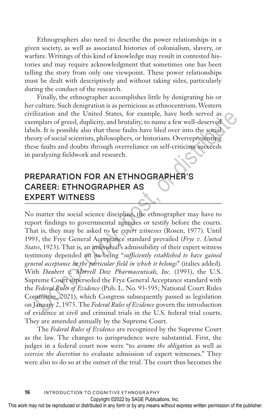Ethnographers also need to describe the power relationships in a given society, as well as associated histories of colonialism, slavery, or warfare. Writings of this kind of knowledge may result in contested histories and may require acknowledgment that sometimes one has been telling the story from only one viewpoint. These power relationships must be dealt with descriptively and without taking sides, particularly during the conduct of the research.

Finally, the ethnographer accomplishes little by denigrating his or her culture. Such denigration is as pernicious as ethnocentrism. Western civilization and the United States, for example, have both served as exemplars of greed, duplicity, and brutality, to name a few well-deserved labels. It is possible also that these faults have bled over into the social theory of social scientists, philosophers, or historians. Overrepresenting these faults and doubts through overreliance on self-criticism succeeds in paralyzing fieldwork and research.

### **PREPARATION FOR AN ETHNOGRAPHER'S CAREER: ETHNOGRAPHER AS EXPERT WITNESS**

No matter the social science discipline, the ethnographer may have to report findings to governmental agencies or testify before the courts. That is, they may be asked to be *expert witnesses* (Rosen, 1977). Until 1993, the Frye General Acceptance standard prevailed (*Frye v. United States*, 1923). That is, an individual's admissibility of their expert witness testimony depended on its being "*sufficiently established to have gained general acceptance in the particular field in which it belongs*" (italics added). With *Daubert v. Merrell Dow Pharmaceuticals, Inc.* (1993), the U.S. Supreme Court superseded the Frye General Acceptance standard with the *Federal Rules of Evidence* (Pub. L. No. 93-595; National Court Rules Committee, 2021), which Congress subsequently passed as legislation on January 2, 1975. The *Federal Rules of Evidence* govern the introduction of evidence at civil and criminal trials in the U.S. federal trial courts. They are amended annually by the Supreme Court. lization and the United States, for example, have both served as<br>
maplars of greed, duplicity, and brutality, to name a few well-deserved<br>
els. It is possible also that these faults have bled over into the social<br>
ory of

The *Federal Rules of Evidence* are recognized by the Supreme Court as the law. The changes to jurisprudence were substantial. First, the judges in a federal court now were "to *assume the obligation* as well as *exercise the discretion* to evaluate admission of expert witnesses." They were also to do so at the outset of the trial. The court thus becomes the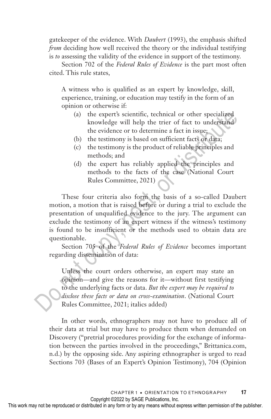gatekeeper of the evidence. With *Daubert* (1993), the emphasis shifted *from* deciding how well received the theory or the individual testifying is *to* assessing the validity of the evidence in support of the testimony.

Section 702 of the *Federal Rules of Evidence* is the part most often cited. This rule states,

A witness who is qualified as an expert by knowledge, skill, experience, training, or education may testify in the form of an opinion or otherwise if:

- (a) the expert's scientific, technical or other specialized knowledge will help the trier of fact to understand the evidence or to determine a fact in issue;
- (b) the testimony is based on sufficient facts or data;
- (c) the testimony is the product of reliable principles and methods; and
- (d) the expert has reliably applied the principles and methods to the facts of the case (National Court Rules Committee, 2021)

These four criteria also form the basis of a so-called Daubert motion, a motion that is raised before or during a trial to exclude the presentation of unqualified evidence to the jury. The argument can exclude the testimony of an expert witness if the witness's testimony is found to be insufficient or the methods used to obtain data are questionable. (a) the expert's scientific, technical or other specialized<br>
knowledge will help the trier of fact to understand<br>
the evidence or to determine a fact in issue;<br>
(b) the testimony is based on sufficient facts or data;<br>
(c)

Section 705 of the *Federal Rules of Evidence* becomes important regarding dissemination of data:

Unless the court orders otherwise, an expert may state an opinion—and give the reasons for it—without first testifying to the underlying facts or data. *But the expert may be required to disclose these facts or data on cross-examination*. (National Court Rules Committee, 2021; italics added)

In other words, ethnographers may not have to produce all of their data at trial but may have to produce them when demanded on Discovery ("pretrial procedures providing for the exchange of information between the parties involved in the proceedings," Brittanica.com, n.d.) by the opposing side. Any aspiring ethnographer is urged to read Sections 703 (Bases of an Expert's Opinion Testimony), 704 (Opinion